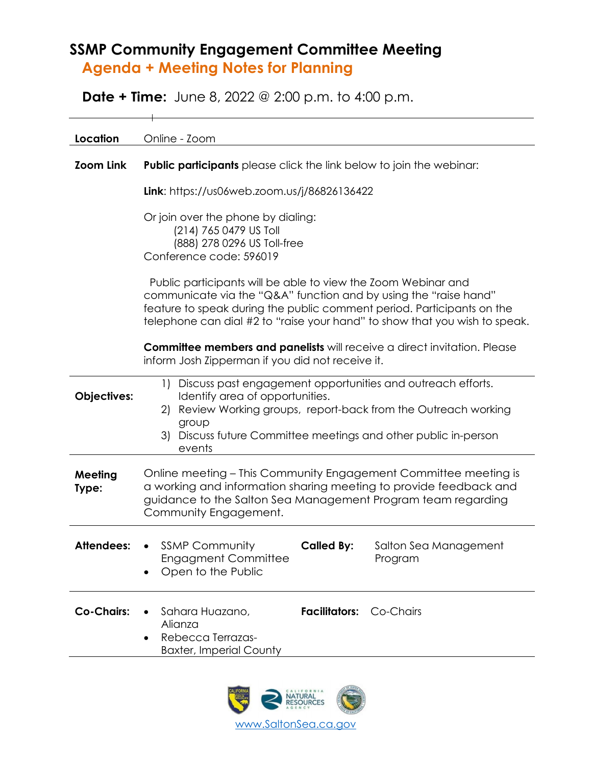## **SSMP Community Engagement Committee Meeting Agenda + Meeting Notes for Planning**

**Date + Time:** June 8, 2022 @ 2:00 p.m. to 4:00 p.m.

| Location          | Online - Zoom                                                                                                                                                                                                                                                                             |  |  |  |
|-------------------|-------------------------------------------------------------------------------------------------------------------------------------------------------------------------------------------------------------------------------------------------------------------------------------------|--|--|--|
| <b>Zoom Link</b>  | <b>Public participants</b> please click the link below to join the webinar:                                                                                                                                                                                                               |  |  |  |
|                   | Link: https://us06web.zoom.us/j/86826136422                                                                                                                                                                                                                                               |  |  |  |
|                   | Or join over the phone by dialing:<br>(214) 765 0479 US Toll<br>(888) 278 0296 US Toll-free<br>Conference code: 596019                                                                                                                                                                    |  |  |  |
|                   | Public participants will be able to view the Zoom Webinar and<br>communicate via the "Q&A" function and by using the "raise hand"<br>feature to speak during the public comment period. Participants on the<br>telephone can dial #2 to "raise your hand" to show that you wish to speak. |  |  |  |
|                   | <b>Committee members and panelists</b> will receive a direct invitation. Please<br>inform Josh Zipperman if you did not receive it.                                                                                                                                                       |  |  |  |
| Objectives:       | 1) Discuss past engagement opportunities and outreach efforts.<br>Identify area of opportunities.<br>2) Review Working groups, report-back from the Outreach working<br>group<br>3) Discuss future Committee meetings and other public in-person<br>events                                |  |  |  |
| Meeting<br>Type:  | Online meeting – This Community Engagement Committee meeting is<br>a working and information sharing meeting to provide feedback and<br>guidance to the Salton Sea Management Program team regarding<br>Community Engagement.                                                             |  |  |  |
| <b>Attendees:</b> | <b>SSMP Community</b><br><b>Called By:</b><br>Salton Sea Management<br>$\bullet$<br><b>Engagment Committee</b><br>Program<br>Open to the Public                                                                                                                                           |  |  |  |
| <b>Co-Chairs:</b> | Sahara Huazano,<br>Facilitators: Co-Chairs<br>Alianza<br>Rebecca Terrazas-<br><b>Baxter, Imperial County</b>                                                                                                                                                                              |  |  |  |